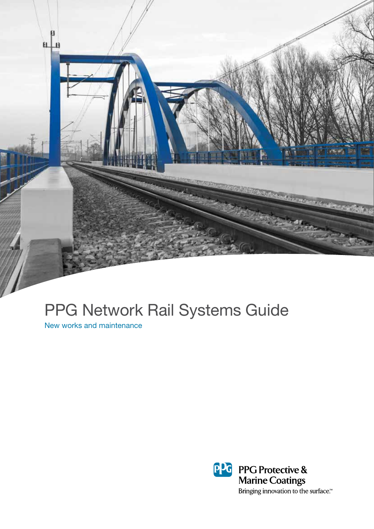

# PPG Network Rail Systems Guide

New works and maintenance

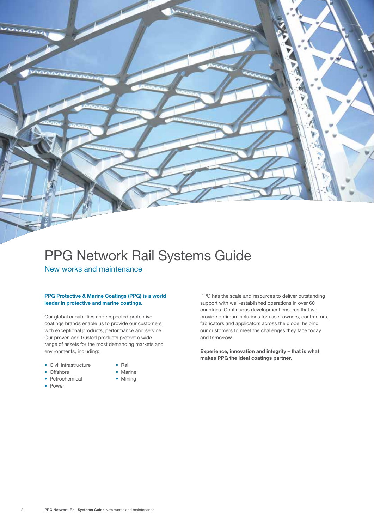## PPG Network Rail Systems Guide New works and maintenance

#### **PPG Protective & Marine Coatings (PPG) is a world leader in protective and marine coatings.**

Our global capabilities and respected protective coatings brands enable us to provide our customers with exceptional products, performance and service. Our proven and trusted products protect a wide range of assets for the most demanding markets and environments, including:

- Civil Infrastructure Rail
	-
- Offshore Marine
- Petrochemical Mining
- Power
- 
- 

support with well-established operations in over 60 countries. Continuous development ensures that we provide optimum solutions for asset owners, contractors, fabricators and applicators across the globe, helping our customers to meet the challenges they face today and tomorrow.

PPG has the scale and resources to deliver outstanding

**Experience, innovation and integrity – that is what makes PPG the ideal coatings partner.**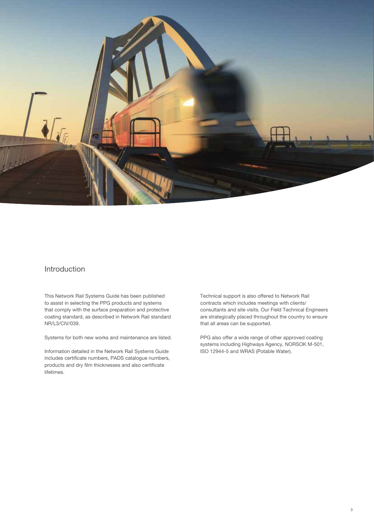

## Introduction

This Network Rail Systems Guide has been published to assist in selecting the PPG products and systems that comply with the surface preparation and protective coating standard, as described in Network Rail standard NR/L3/CIV/039.

Systems for both new works and maintenance are listed.

Information detailed in the Network Rail Systems Guide includes certificate numbers, PADS catalogue numbers, products and dry film thicknesses and also certificate lifetimes.

Technical support is also offered to Network Rail contracts which includes meetings with clients/ consultants and site visits. Our Field Technical Engineers are strategically placed throughout the country to ensure that all areas can be supported.

PPG also offer a wide range of other approved coating systems including Highways Agency, NORSOK M-501, ISO 12944-5 and WRAS (Potable Water).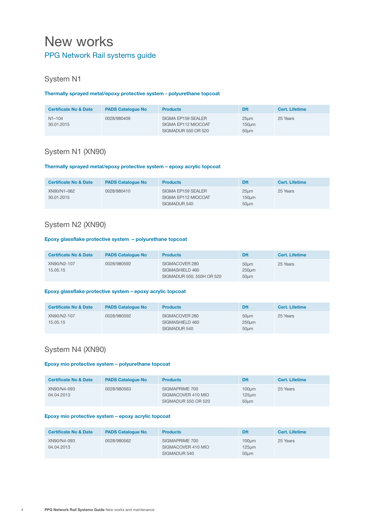## New works PPG Network Rail systems guide

## System N1

### **Thermally sprayed metal/epoxy protective system - polyurethane topcoat**

| <b>Certificate No &amp; Date</b> | <b>PADS Catalogue No</b> | <b>Products</b>                                                  | Dft                   | <b>Cert. Lifetime</b> |
|----------------------------------|--------------------------|------------------------------------------------------------------|-----------------------|-----------------------|
| $N1 - 104$<br>30.01.2015         | 0028/980409              | SIGMA EP159 SEALER<br>SIGMA EP112 MIOCOAT<br>SIGMADUR 550 OR 520 | 25um<br>150um<br>50um | 25 Years              |

## System N1 (XN90)

### **Thermally sprayed metal/epoxy protective system – epoxy acrylic topcoat**

| <b>Certificate No &amp; Date</b> | <b>PADS Catalogue No</b> | <b>Products</b>                                           | <b>Dft</b>            | <b>Cert. Lifetime</b> |
|----------------------------------|--------------------------|-----------------------------------------------------------|-----------------------|-----------------------|
| XN90/N1-062<br>30.01.2015        | 0028/980410              | SIGMA EP159 SEALER<br>SIGMA EP112 MIOCOAT<br>SIGMADUR 540 | 25um<br>150um<br>50um | 25 Years              |

## System N2 (XN90)

#### **Epoxy glassflake protective system – polyurethane topcoat**

| <b>Certificate No &amp; Date</b> | <b>PADS Catalogue No</b> | <b>Products</b>                                                | Dft                   | Cert. Lifetime |
|----------------------------------|--------------------------|----------------------------------------------------------------|-----------------------|----------------|
| XN90/N2-107<br>15.05.15          | 0028/980592              | SIGMACOVER 280<br>SIGMASHIELD 460<br>SIGMADUR 550, 550H OR 520 | 50um<br>250um<br>50um | 25 Years       |

#### **Epoxy glassflake protective system – epoxy acrylic topcoat**

| <b>Certificate No &amp; Date</b> | <b>PADS Catalogue No</b> | <b>Products</b>                                   | <b>Dft</b>                  | <b>Cert. Lifetime</b> |
|----------------------------------|--------------------------|---------------------------------------------------|-----------------------------|-----------------------|
| XN90/N2-107<br>15.05.15          | 0028/980592              | SIGMACOVER 280<br>SIGMASHIELD 460<br>SIGMADUR 540 | $50 \mu m$<br>250um<br>50um | 25 Years              |

## System N4 (XN90)

### **Epoxy mio protective system – polyurethane topcoat**

| <b>Certificate No &amp; Date</b> | <b>PADS Catalogue No</b> | <b>Products</b>                                             | <b>Dft</b>             | Cert. Lifetime |
|----------------------------------|--------------------------|-------------------------------------------------------------|------------------------|----------------|
| XN90/N4-093<br>04.04.2013        | 0028/980563              | SIGMAPRIME 700<br>SIGMACOVER 410 MIO<br>SIGMADUR 550 OR 520 | 100um<br>125um<br>50um | 25 Years       |

#### **Epoxy mio protective system – epoxy acrylic topcoat**

| <b>Certificate No &amp; Date</b> | <b>PADS Catalogue No</b> | <b>Products</b>                                      | <b>Dft</b>                            | <b>Cert. Lifetime</b> |
|----------------------------------|--------------------------|------------------------------------------------------|---------------------------------------|-----------------------|
| XN90/N4-093<br>04.04.2013        | 0028/980562              | SIGMAPRIME 700<br>SIGMACOVER 410 MIO<br>SIGMADUR 540 | 100 <sub>um</sub><br>$125$ um<br>50um | 25 Years              |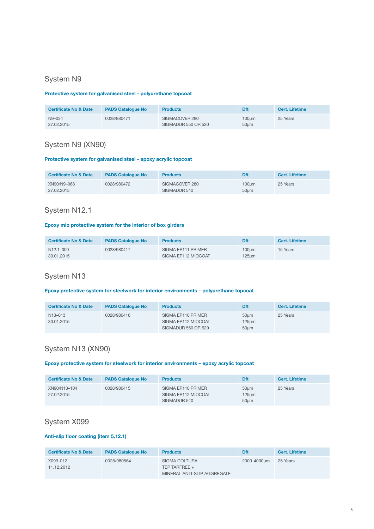## System N9

## **Protective system for galvanised steel - polyurethane topcoat**

| <b>Certificate No &amp; Date</b> | <b>PADS Catalogue No</b> | <b>Products</b>                       | Dft                      | <b>Cert. Lifetime</b> |
|----------------------------------|--------------------------|---------------------------------------|--------------------------|-----------------------|
| N9-034<br>27.02.2015             | 0028/980471              | SIGMACOVER 280<br>SIGMADUR 550 OR 520 | 100 <sub>µ</sub><br>50um | 25 Years              |

## System N9 (XN90)

#### **Protective system for galvanised steel - epoxy acrylic topcoat**

| <b>Certificate No &amp; Date</b> | <b>PADS Catalogue No.</b> | <b>Products</b>                | Dft                      | Cert. Lifetime |
|----------------------------------|---------------------------|--------------------------------|--------------------------|----------------|
| XN90/N9-068<br>27.02.2015        | 0028/980472               | SIGMACOVER 280<br>SIGMADUR 540 | 100 <sub>µ</sub><br>50um | 25 Years       |

## System N12.1

## **Epoxy mio protective system for the interior of box girders**

| <b>Certificate No &amp; Date</b>     | <b>PADS Catalogue No</b> | <b>Products</b>                           | Dft                                   | <b>Cert. Lifetime</b> |
|--------------------------------------|--------------------------|-------------------------------------------|---------------------------------------|-----------------------|
| N <sub>12.1</sub> -009<br>30.01.2015 | 0028/980417              | SIGMA EP111 PRIMER<br>SIGMA EP112 MIOCOAT | 100 <sub>µ</sub><br>125 <sub>um</sub> | 15 Years              |

## System N13

#### **Epoxy protective system for steelwork for interior environments – polyurethane topcoat**

| <b>Certificate No &amp; Date</b>   | <b>PADS Catalogue No</b> | <b>Products</b>                                                  | <b>Dft</b>                        | Cert. Lifetime |
|------------------------------------|--------------------------|------------------------------------------------------------------|-----------------------------------|----------------|
| N <sub>13</sub> -013<br>30.01.2015 | 0028/980416              | SIGMA EP110 PRIMER<br>SIGMA EP112 MIOCOAT<br>SIGMADUR 550 OR 520 | 50um<br>125 <sub>um</sub><br>50um | 25 Years       |

## System N13 (XN90)

#### **Epoxy protective system for steelwork for interior environments – epoxy acrylic topcoat**

| <b>Certificate No &amp; Date</b> | <b>PADS Catalogue No</b> | <b>Products</b>                                           | <b>Dft</b>                      | Cert. Lifetime |
|----------------------------------|--------------------------|-----------------------------------------------------------|---------------------------------|----------------|
| XN90/N13-104<br>27.02.2015       | 0028/980415              | SIGMA EP110 PRIMER<br>SIGMA EP112 MIOCOAT<br>SIGMADUR 540 | 50um<br>$125 \text{µm}$<br>50um | 25 Years       |

## System X099

## **Anti-slip floor coating (item 5.12.1)**

| <b>Certificate No &amp; Date</b> | <b>PADS Catalogue No</b> | <b>Products</b>                                                 | <b>Dft</b>  | <b>Cert. Lifetime</b> |
|----------------------------------|--------------------------|-----------------------------------------------------------------|-------------|-----------------------|
| X099-012<br>11.12.2012           | 0028/980564              | SIGMA COLTURA<br>TEP TARFREE $+$<br>MINERAL ANTI-SLIP AGGREGATE | 2000-4000um | 25 Years              |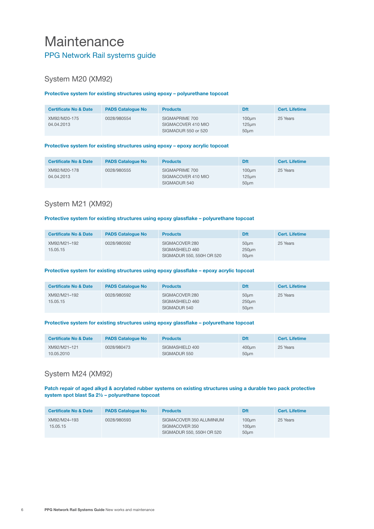## **Maintenance** PPG Network Rail systems guide

## System M20 (XM92)

## **Protective system for existing structures using epoxy – polyurethane topcoat**

| <b>Certificate No &amp; Date</b> | <b>PADS Catalogue No</b> | <b>Products</b>                                             | <b>Dft</b>                | <b>Cert. Lifetime</b> |
|----------------------------------|--------------------------|-------------------------------------------------------------|---------------------------|-----------------------|
| XM92/M20-175<br>04.04.2013       | 0028/980554              | SIGMAPRIME 700<br>SIGMACOVER 410 MIO<br>SIGMADUR 550 or 520 | 100um<br>$125$ um<br>50um | 25 Years              |

#### **Protective system for existing structures using epoxy – epoxy acrylic topcoat**

| <b>Certificate No &amp; Date</b> | <b>PADS Catalogue No</b> | <b>Products</b>                                      | <b>Dft</b>                | <b>Cert. Lifetime</b> |
|----------------------------------|--------------------------|------------------------------------------------------|---------------------------|-----------------------|
| XM92/M20-178<br>04.04.2013       | 0028/980555              | SIGMAPRIME 700<br>SIGMACOVER 410 MIO<br>SIGMADUR 540 | 100um<br>$125$ um<br>50um | 25 Years              |

## System M21 (XM92)

#### **Protective system for existing structures using epoxy glassflake – polyurethane topcoat**

| <b>Certificate No &amp; Date</b> | <b>PADS Catalogue No</b> | <b>Products</b>                                                | <b>Dft</b>            | Cert. Lifetime |
|----------------------------------|--------------------------|----------------------------------------------------------------|-----------------------|----------------|
| XM92/M21-192<br>15.05.15         | 0028/980592              | SIGMACOVER 280<br>SIGMASHIELD 460<br>SIGMADUR 550, 550H OR 520 | 50um<br>250um<br>50um | 25 Years       |

#### **Protective system for existing structures using epoxy glassflake – epoxy acrylic topcoat**

| <b>Certificate No &amp; Date</b> | <b>PADS Catalogue No</b> | <b>Products</b>                                   | <b>Dft</b>            | <b>Cert. Lifetime</b> |
|----------------------------------|--------------------------|---------------------------------------------------|-----------------------|-----------------------|
| XM92/M21-192<br>15.05.15         | 0028/980592              | SIGMACOVER 280<br>SIGMASHIELD 460<br>SIGMADUR 540 | 50um<br>250um<br>50um | 25 Years              |

#### **Protective system for existing structures using epoxy glassflake – polyurethane topcoat**

| <b>Certificate No &amp; Date</b> | <b>PADS Catalogue No</b> | <b>Products</b>                 | <b>Dft</b>    | Cert. Lifetime |
|----------------------------------|--------------------------|---------------------------------|---------------|----------------|
| XM92/M21-121<br>10.05.2010       | 0028/980473              | SIGMASHIELD 400<br>SIGMADUR 550 | 400um<br>50um | 25 Years       |

## System M24 (XM92)

#### **Patch repair of aged alkyd & acrylated rubber systems on existing structures using a durable two pack protective system spot blast Sa 2½ – polyurethane topcoat**

| <b>Certificate No &amp; Date</b> | <b>PADS Catalogue No</b> | <b>Products</b>                                                         | Dft                                          | <b>Cert. Lifetime</b> |
|----------------------------------|--------------------------|-------------------------------------------------------------------------|----------------------------------------------|-----------------------|
| XM92/M24-193<br>15.05.15         | 0028/980593              | SIGMACOVER 350 ALUMINIUM<br>SIGMACOVER 350<br>SIGMADUR 550, 550H OR 520 | 100 <sub>µ</sub><br>100 <sub>µ</sub><br>50um | 25 Years              |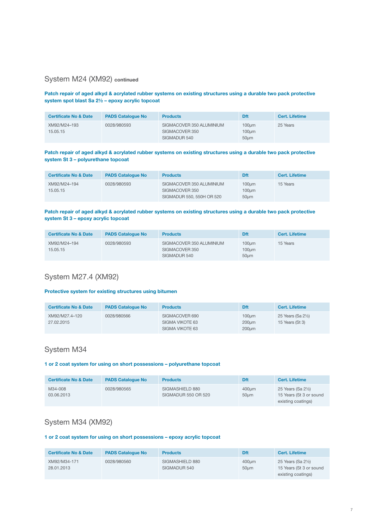## System M24 (XM92) **continued**

#### **Patch repair of aged alkyd & acrylated rubber systems on existing structures using a durable two pack protective system spot blast Sa 2½ – epoxy acrylic topcoat**

| <b>Certificate No &amp; Date</b> | <b>PADS Catalogue No</b> | <b>Products</b>                                            | Dft                    | <b>Cert. Lifetime</b> |
|----------------------------------|--------------------------|------------------------------------------------------------|------------------------|-----------------------|
| XM92/M24-193<br>15.05.15         | 0028/980593              | SIGMACOVER 350 ALUMINIUM<br>SIGMACOVER 350<br>SIGMADUR 540 | 100um<br>100um<br>50um | 25 Years              |

#### **Patch repair of aged alkyd & acrylated rubber systems on existing structures using a durable two pack protective system St 3 – polyurethane topcoat**

| <b>Certificate No &amp; Date</b> | <b>PADS Catalogue No</b> | <b>Products</b>                                                         | Dft                                          | Cert. Lifetime |
|----------------------------------|--------------------------|-------------------------------------------------------------------------|----------------------------------------------|----------------|
| XM92/M24-194<br>15.05.15         | 0028/980593              | SIGMACOVER 350 ALUMINIUM<br>SIGMACOVER 350<br>SIGMADUR 550, 550H OR 520 | 100 <sub>µ</sub><br>100 <sub>µ</sub><br>50um | 15 Years       |

#### **Patch repair of aged alkyd & acrylated rubber systems on existing structures using a durable two pack protective system St 3 – epoxy acrylic topcoat**

| <b>Certificate No &amp; Date</b> | <b>PADS Catalogue No</b> | <b>Products</b>                                            | Dft                                          | <b>Cert. Lifetime</b> |
|----------------------------------|--------------------------|------------------------------------------------------------|----------------------------------------------|-----------------------|
| XM92/M24-194<br>15.05.15         | 0028/980593              | SIGMACOVER 350 ALUMINIUM<br>SIGMACOVER 350<br>SIGMADUR 540 | 100 <sub>µ</sub><br>100 <sub>µ</sub><br>50um | 15 Years              |

## System M27.4 (XM92)

#### **Protective system for existing structures using bitumen**

| <b>Certificate No &amp; Date</b> | <b>PADS Catalogue No</b> | <b>Products</b>                                      | Dft                                       | Cert. Lifetime                        |
|----------------------------------|--------------------------|------------------------------------------------------|-------------------------------------------|---------------------------------------|
| XM92/M27.4-120<br>27.02.2015     | 0028/980566              | SIGMACOVER 690<br>SIGMA VIKOTE 63<br>SIGMA VIKOTE 63 | $100 \mu m$<br>200um<br>200 <sub>um</sub> | 25 Years (Sa 21/2)<br>15 Years (St 3) |

## System M34

#### **1 or 2 coat system for using on short possessions – polyurethane topcoat**

| <b>Certificate No &amp; Date</b> | <b>PADS Catalogue No</b> | <b>Products</b>                        | <b>Dft</b>          | <b>Cert. Lifetime</b>                                               |
|----------------------------------|--------------------------|----------------------------------------|---------------------|---------------------------------------------------------------------|
| M34-008<br>03.06.2013            | 0028/980565              | SIGMASHIELD 880<br>SIGMADUR 550 OR 520 | $400 \mu m$<br>50um | 25 Years (Sa 21/2)<br>15 Years (St 3 or sound<br>existing coatings) |

## System M34 (XM92)

### **1 or 2 coat system for using on short possessions – epoxy acrylic topcoat**

| <b>Certificate No &amp; Date</b> | <b>PADS Catalogue No</b> | <b>Products</b>                 | <b>Dft</b>    | <b>Cert. Lifetime</b>                                               |
|----------------------------------|--------------------------|---------------------------------|---------------|---------------------------------------------------------------------|
| XM92/M34-171<br>28.01.2013       | 0028/980560              | SIGMASHIELD 880<br>SIGMADUR 540 | 400um<br>50um | 25 Years (Sa 21/2)<br>15 Years (St 3 or sound<br>existing coatings) |